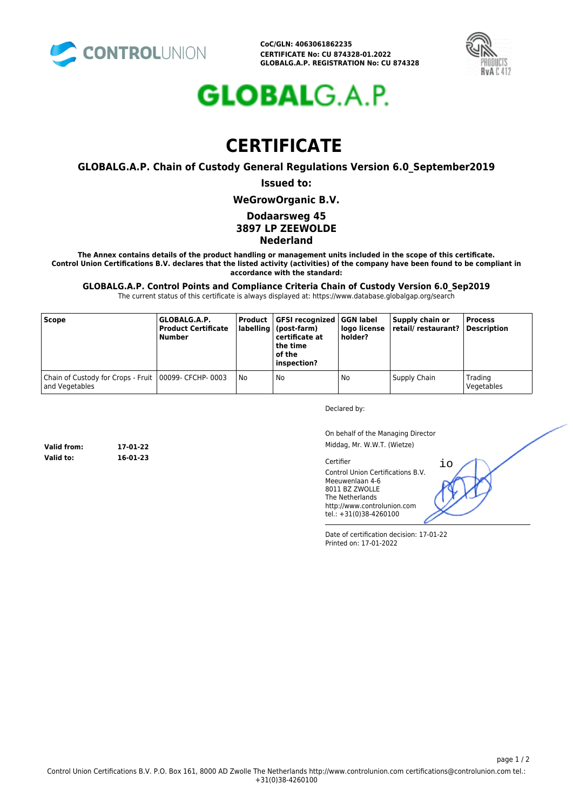

**CoC/GLN: 4063061862235 CERTIFICATE No: CU 874328-01.2022 GLOBALG.A.P. REGISTRATION No: CU 874328**



# **GLOBAL**G.A.P.

## **CERTIFICATE**

**GLOBALG.A.P. Chain of Custody General Regulations Version 6.0\_September2019**

#### **Issued to:**

**WeGrowOrganic B.V.**

#### **Dodaarsweg 45**

### **3897 LP ZEEWOLDE**

**Nederland**

**The Annex contains details of the product handling or management units included in the scope of this certificate. Control Union Certifications B.V. declares that the listed activity (activities) of the company have been found to be compliant in accordance with the standard:**

**GLOBALG.A.P. Control Points and Compliance Criteria Chain of Custody Version 6.0\_Sep2019**

The current status of this certificate is always displayed at: https://www.database.globalgap.org/search

| <b>Scope</b>                                                             | GLOBALG.A.P.<br><b>Product Certificate</b><br><b>Number</b> |    | Product GFSI recognized GGN label<br>  labelling   (post-farm)  <br>certificate at<br>the time<br>of the<br>inspection? | logo license<br>holder? | Supply chain or<br>retail/ restaurant?   Description | <b>Process</b>        |
|--------------------------------------------------------------------------|-------------------------------------------------------------|----|-------------------------------------------------------------------------------------------------------------------------|-------------------------|------------------------------------------------------|-----------------------|
| Chain of Custody for Crops - Fruit   00099- CFCHP-0003<br>and Vegetables |                                                             | No | No                                                                                                                      | No                      | Supply Chain                                         | Trading<br>Vegetables |

Declared by:

On behalf of the Managing Director Middag, Mr. W.W.T. (Wietze)

io

Certifier

Control Union Certifications B.V. Meeuwenlaan 4-6 8011 BZ ZWOLLE The Netherlands http://www.controlunion.com tel.: +31(0)38-4260100

Date of certification decision: 17-01-22 Printed on: 17-01-2022

**Valid from: 17-01-22 Valid to: 16-01-23**